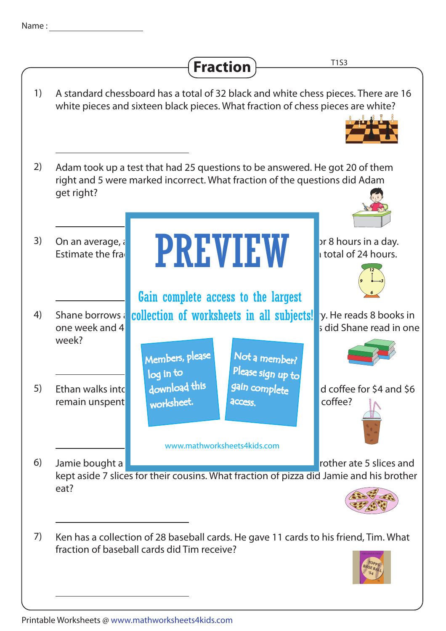